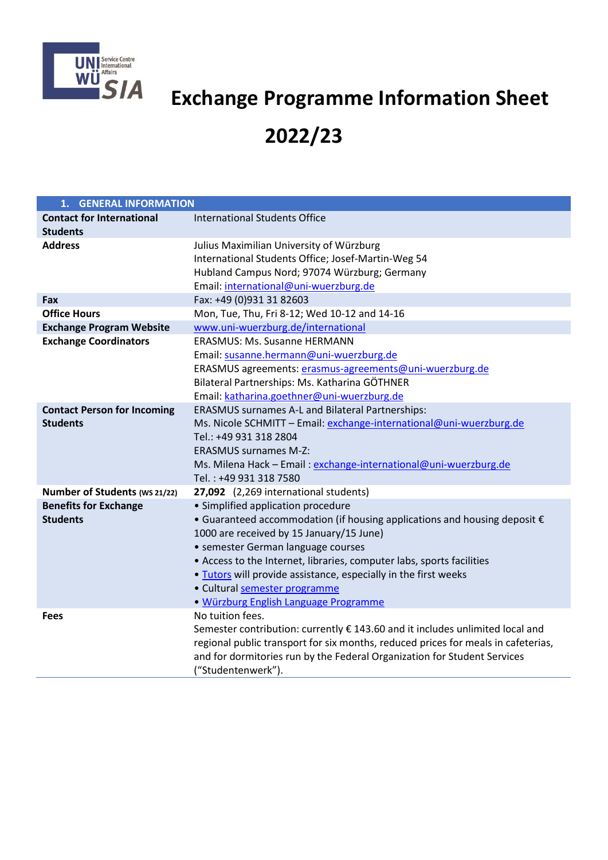

## **Exchange Programme Information Sheet**

## **2022/23**

| 1. GENERAL INFORMATION                                |                                                                                                                                                                                                                                                                                                                                                                                                                                  |  |
|-------------------------------------------------------|----------------------------------------------------------------------------------------------------------------------------------------------------------------------------------------------------------------------------------------------------------------------------------------------------------------------------------------------------------------------------------------------------------------------------------|--|
| <b>Contact for International</b><br><b>Students</b>   | <b>International Students Office</b>                                                                                                                                                                                                                                                                                                                                                                                             |  |
| <b>Address</b>                                        | Julius Maximilian University of Würzburg<br>International Students Office; Josef-Martin-Weg 54<br>Hubland Campus Nord; 97074 Würzburg; Germany<br>Email: international@uni-wuerzburg.de                                                                                                                                                                                                                                          |  |
| Fax                                                   | Fax: +49 (0)931 31 82603                                                                                                                                                                                                                                                                                                                                                                                                         |  |
| <b>Office Hours</b>                                   | Mon, Tue, Thu, Fri 8-12; Wed 10-12 and 14-16                                                                                                                                                                                                                                                                                                                                                                                     |  |
| <b>Exchange Program Website</b>                       | www.uni-wuerzburg.de/international                                                                                                                                                                                                                                                                                                                                                                                               |  |
| <b>Exchange Coordinators</b>                          | <b>ERASMUS: Ms. Susanne HERMANN</b><br>Email: susanne.hermann@uni-wuerzburg.de<br>ERASMUS agreements: erasmus-agreements@uni-wuerzburg.de<br>Bilateral Partnerships: Ms. Katharina GÖTHNER<br>Email: katharina.goethner@uni-wuerzburg.de                                                                                                                                                                                         |  |
| <b>Contact Person for Incoming</b><br><b>Students</b> | <b>ERASMUS surnames A-L and Bilateral Partnerships:</b><br>Ms. Nicole SCHMITT - Email: exchange-international@uni-wuerzburg.de<br>Tel.: +49 931 318 2804<br><b>ERASMUS surnames M-Z:</b><br>Ms. Milena Hack - Email: exchange-international@uni-wuerzburg.de<br>Tel.: +49 931 318 7580                                                                                                                                           |  |
| Number of Students (ws 21/22)                         | 27,092 (2,269 international students)                                                                                                                                                                                                                                                                                                                                                                                            |  |
| <b>Benefits for Exchange</b><br><b>Students</b>       | · Simplified application procedure<br>• Guaranteed accommodation (if housing applications and housing deposit $\epsilon$<br>1000 are received by 15 January/15 June)<br>• semester German language courses<br>• Access to the Internet, libraries, computer labs, sports facilities<br>. Tutors will provide assistance, especially in the first weeks<br>· Cultural semester programme<br>· Würzburg English Language Programme |  |
| <b>Fees</b>                                           | No tuition fees.<br>Semester contribution: currently $\epsilon$ 143.60 and it includes unlimited local and<br>regional public transport for six months, reduced prices for meals in cafeterias,<br>and for dormitories run by the Federal Organization for Student Services<br>("Studentenwerk").                                                                                                                                |  |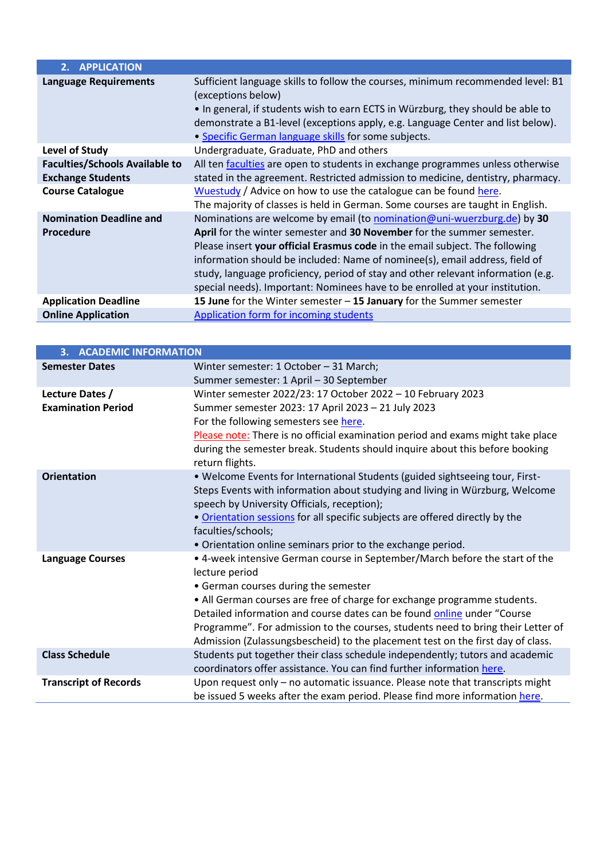| 2. APPLICATION                                                                               |                                                                                                                                                                                                                                                                                                                                                                                                                                                                                      |
|----------------------------------------------------------------------------------------------|--------------------------------------------------------------------------------------------------------------------------------------------------------------------------------------------------------------------------------------------------------------------------------------------------------------------------------------------------------------------------------------------------------------------------------------------------------------------------------------|
| <b>Language Requirements</b>                                                                 | Sufficient language skills to follow the courses, minimum recommended level: B1<br>(exceptions below)<br>. In general, if students wish to earn ECTS in Würzburg, they should be able to<br>demonstrate a B1-level (exceptions apply, e.g. Language Center and list below).<br>• Specific German language skills for some subjects.                                                                                                                                                  |
| Level of Study                                                                               | Undergraduate, Graduate, PhD and others                                                                                                                                                                                                                                                                                                                                                                                                                                              |
| <b>Faculties/Schools Available to</b><br><b>Exchange Students</b><br><b>Course Catalogue</b> | All ten faculties are open to students in exchange programmes unless otherwise<br>stated in the agreement. Restricted admission to medicine, dentistry, pharmacy.<br>Wuestudy / Advice on how to use the catalogue can be found here.<br>The majority of classes is held in German. Some courses are taught in English.                                                                                                                                                              |
| <b>Nomination Deadline and</b><br><b>Procedure</b>                                           | Nominations are welcome by email (to nomination@uni-wuerzburg.de) by 30<br>April for the winter semester and 30 November for the summer semester.<br>Please insert your official Erasmus code in the email subject. The following<br>information should be included: Name of nominee(s), email address, field of<br>study, language proficiency, period of stay and other relevant information (e.g.<br>special needs). Important: Nominees have to be enrolled at your institution. |
| <b>Application Deadline</b>                                                                  | 15 June for the Winter semester - 15 January for the Summer semester                                                                                                                                                                                                                                                                                                                                                                                                                 |
| <b>Online Application</b>                                                                    | Application form for incoming students                                                                                                                                                                                                                                                                                                                                                                                                                                               |

| <b>3. ACADEMIC INFORMATION</b> |                                                                                  |  |
|--------------------------------|----------------------------------------------------------------------------------|--|
| <b>Semester Dates</b>          | Winter semester: 1 October - 31 March;                                           |  |
|                                | Summer semester: 1 April - 30 September                                          |  |
| Lecture Dates /                | Winter semester 2022/23: 17 October 2022 - 10 February 2023                      |  |
| <b>Examination Period</b>      | Summer semester 2023: 17 April 2023 - 21 July 2023                               |  |
|                                | For the following semesters see here.                                            |  |
|                                | Please note: There is no official examination period and exams might take place  |  |
|                                | during the semester break. Students should inquire about this before booking     |  |
|                                | return flights.                                                                  |  |
| <b>Orientation</b>             | . Welcome Events for International Students (guided sightseeing tour, First-     |  |
|                                | Steps Events with information about studying and living in Würzburg, Welcome     |  |
|                                | speech by University Officials, reception);                                      |  |
|                                | . Orientation sessions for all specific subjects are offered directly by the     |  |
|                                | faculties/schools;                                                               |  |
|                                | • Orientation online seminars prior to the exchange period.                      |  |
| <b>Language Courses</b>        | • 4-week intensive German course in September/March before the start of the      |  |
|                                | lecture period<br>• German courses during the semester                           |  |
|                                | • All German courses are free of charge for exchange programme students.         |  |
|                                | Detailed information and course dates can be found online under "Course          |  |
|                                | Programme". For admission to the courses, students need to bring their Letter of |  |
|                                | Admission (Zulassungsbescheid) to the placement test on the first day of class.  |  |
| <b>Class Schedule</b>          | Students put together their class schedule independently; tutors and academic    |  |
|                                | coordinators offer assistance. You can find further information here.            |  |
| <b>Transcript of Records</b>   | Upon request only – no automatic issuance. Please note that transcripts might    |  |
|                                | be issued 5 weeks after the exam period. Please find more information here.      |  |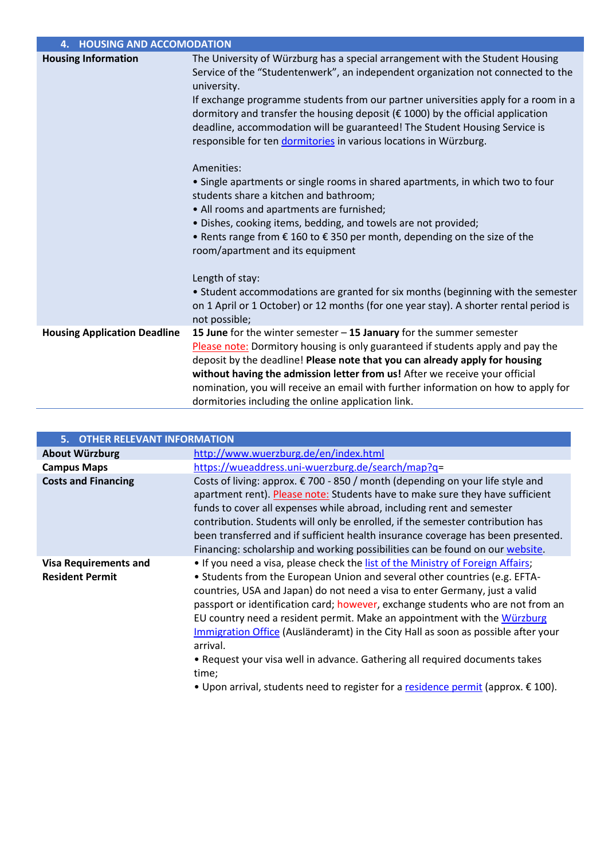| 4. HOUSING AND ACCOMODATION         |                                                                                                                                                                                                                                                                                                                                                                                                                                                                                                              |
|-------------------------------------|--------------------------------------------------------------------------------------------------------------------------------------------------------------------------------------------------------------------------------------------------------------------------------------------------------------------------------------------------------------------------------------------------------------------------------------------------------------------------------------------------------------|
| <b>Housing Information</b>          | The University of Würzburg has a special arrangement with the Student Housing<br>Service of the "Studentenwerk", an independent organization not connected to the<br>university.<br>If exchange programme students from our partner universities apply for a room in a<br>dormitory and transfer the housing deposit (€ 1000) by the official application<br>deadline, accommodation will be guaranteed! The Student Housing Service is<br>responsible for ten dormitories in various locations in Würzburg. |
|                                     | Amenities:<br>• Single apartments or single rooms in shared apartments, in which two to four<br>students share a kitchen and bathroom;<br>• All rooms and apartments are furnished;<br>· Dishes, cooking items, bedding, and towels are not provided;<br>• Rents range from $\epsilon$ 160 to $\epsilon$ 350 per month, depending on the size of the<br>room/apartment and its equipment                                                                                                                     |
|                                     | Length of stay:<br>• Student accommodations are granted for six months (beginning with the semester<br>on 1 April or 1 October) or 12 months (for one year stay). A shorter rental period is<br>not possible;                                                                                                                                                                                                                                                                                                |
| <b>Housing Application Deadline</b> | 15 June for the winter semester $-$ 15 January for the summer semester<br>Please note: Dormitory housing is only guaranteed if students apply and pay the<br>deposit by the deadline! Please note that you can already apply for housing<br>without having the admission letter from us! After we receive your official<br>nomination, you will receive an email with further information on how to apply for<br>dormitories including the online application link.                                          |

| 5. OTHER RELEVANT INFORMATION                          |                                                                                                                                                                                                                                                                                                                                                                                                                                                                                                                                                                                                      |  |
|--------------------------------------------------------|------------------------------------------------------------------------------------------------------------------------------------------------------------------------------------------------------------------------------------------------------------------------------------------------------------------------------------------------------------------------------------------------------------------------------------------------------------------------------------------------------------------------------------------------------------------------------------------------------|--|
| <b>About Würzburg</b>                                  | http://www.wuerzburg.de/en/index.html                                                                                                                                                                                                                                                                                                                                                                                                                                                                                                                                                                |  |
| <b>Campus Maps</b>                                     | https://wueaddress.uni-wuerzburg.de/search/map?q=                                                                                                                                                                                                                                                                                                                                                                                                                                                                                                                                                    |  |
| <b>Costs and Financing</b>                             | Costs of living: approx. € 700 - 850 / month (depending on your life style and<br>apartment rent). Please note: Students have to make sure they have sufficient<br>funds to cover all expenses while abroad, including rent and semester<br>contribution. Students will only be enrolled, if the semester contribution has<br>been transferred and if sufficient health insurance coverage has been presented.<br>Financing: scholarship and working possibilities can be found on our website.                                                                                                      |  |
| <b>Visa Requirements and</b><br><b>Resident Permit</b> | . If you need a visa, please check the list of the Ministry of Foreign Affairs;<br>• Students from the European Union and several other countries (e.g. EFTA-<br>countries, USA and Japan) do not need a visa to enter Germany, just a valid<br>passport or identification card; however, exchange students who are not from an<br>EU country need a resident permit. Make an appointment with the Würzburg<br>Immigration Office (Ausländeramt) in the City Hall as soon as possible after your<br>arrival.<br>• Request your visa well in advance. Gathering all required documents takes<br>time; |  |

• Upon arrival, students need to register for [a residence permit](https://www.uni-wuerzburg.de/en/international/studying-in-wuerzburg/information-for-all-foreign-students/resident-permit/) (approx. € 100).